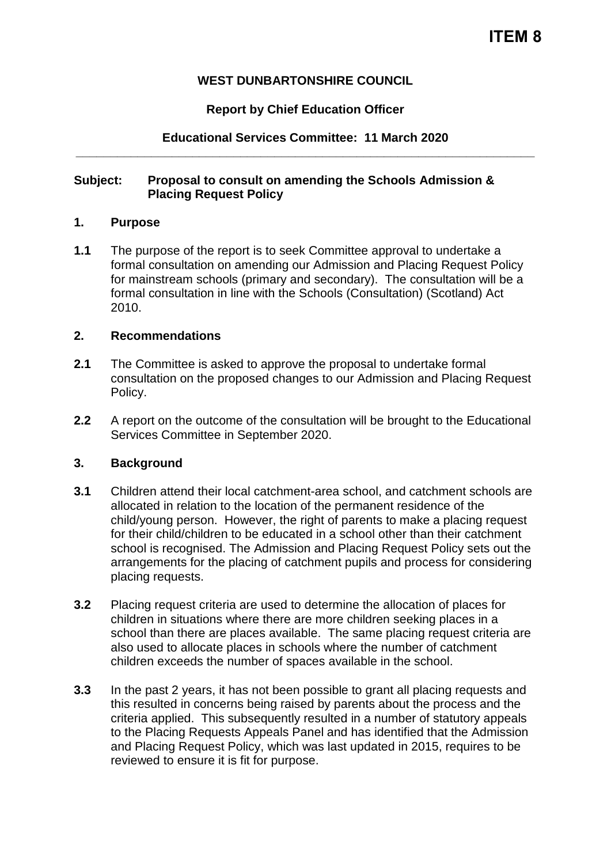## **WEST DUNBARTONSHIRE COUNCIL**

## **Report by Chief Education Officer**

# **Educational Services Committee: 11 March 2020 \_\_\_\_\_\_\_\_\_\_\_\_\_\_\_\_\_\_\_\_\_\_\_\_\_\_\_\_\_\_\_\_\_\_\_\_\_\_\_\_\_\_\_\_\_\_\_\_\_\_\_\_\_\_\_\_\_\_\_\_\_\_\_\_\_\_\_**

## **Subject: Proposal to consult on amending the Schools Admission & Placing Request Policy**

## **1. Purpose**

**1.1** The purpose of the report is to seek Committee approval to undertake a formal consultation on amending our Admission and Placing Request Policy for mainstream schools (primary and secondary). The consultation will be a formal consultation in line with the Schools (Consultation) (Scotland) Act 2010.

#### **2. Recommendations**

- **2.1** The Committee is asked to approve the proposal to undertake formal consultation on the proposed changes to our Admission and Placing Request Policy.
- **2.2** A report on the outcome of the consultation will be brought to the Educational Services Committee in September 2020.

## **3. Background**

- **3.1** Children attend their local catchment-area school, and catchment schools are allocated in relation to the location of the permanent residence of the child/young person. However, the right of parents to make a placing request for their child/children to be educated in a school other than their catchment school is recognised. The Admission and Placing Request Policy sets out the arrangements for the placing of catchment pupils and process for considering placing requests.
- **3.2** Placing request criteria are used to determine the allocation of places for children in situations where there are more children seeking places in a school than there are places available. The same placing request criteria are also used to allocate places in schools where the number of catchment children exceeds the number of spaces available in the school.
- **3.3** In the past 2 years, it has not been possible to grant all placing requests and this resulted in concerns being raised by parents about the process and the criteria applied. This subsequently resulted in a number of statutory appeals to the Placing Requests Appeals Panel and has identified that the Admission and Placing Request Policy, which was last updated in 2015, requires to be reviewed to ensure it is fit for purpose.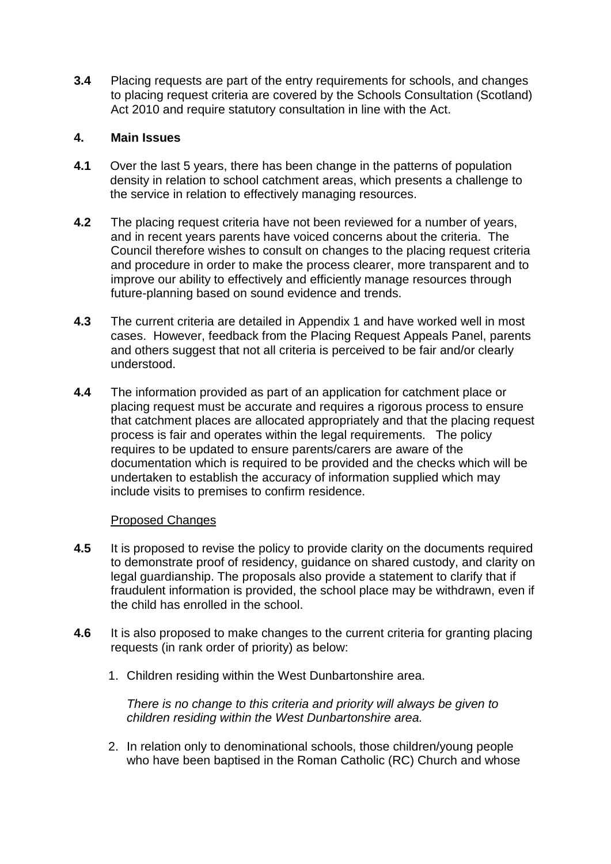**3.4** Placing requests are part of the entry requirements for schools, and changes to placing request criteria are covered by the Schools Consultation (Scotland) Act 2010 and require statutory consultation in line with the Act.

## **4. Main Issues**

- **4.1** Over the last 5 years, there has been change in the patterns of population density in relation to school catchment areas, which presents a challenge to the service in relation to effectively managing resources.
- **4.2** The placing request criteria have not been reviewed for a number of years, and in recent years parents have voiced concerns about the criteria. The Council therefore wishes to consult on changes to the placing request criteria and procedure in order to make the process clearer, more transparent and to improve our ability to effectively and efficiently manage resources through future-planning based on sound evidence and trends.
- **4.3** The current criteria are detailed in Appendix 1 and have worked well in most cases. However, feedback from the Placing Request Appeals Panel, parents and others suggest that not all criteria is perceived to be fair and/or clearly understood.
- **4.4** The information provided as part of an application for catchment place or placing request must be accurate and requires a rigorous process to ensure that catchment places are allocated appropriately and that the placing request process is fair and operates within the legal requirements. The policy requires to be updated to ensure parents/carers are aware of the documentation which is required to be provided and the checks which will be undertaken to establish the accuracy of information supplied which may include visits to premises to confirm residence.

## Proposed Changes

- **4.5** It is proposed to revise the policy to provide clarity on the documents required to demonstrate proof of residency, guidance on shared custody, and clarity on legal guardianship. The proposals also provide a statement to clarify that if fraudulent information is provided, the school place may be withdrawn, even if the child has enrolled in the school.
- **4.6** It is also proposed to make changes to the current criteria for granting placing requests (in rank order of priority) as below:
	- 1. Children residing within the West Dunbartonshire area.

*There is no change to this criteria and priority will always be given to children residing within the West Dunbartonshire area.*

2. In relation only to denominational schools, those children/young people who have been baptised in the Roman Catholic (RC) Church and whose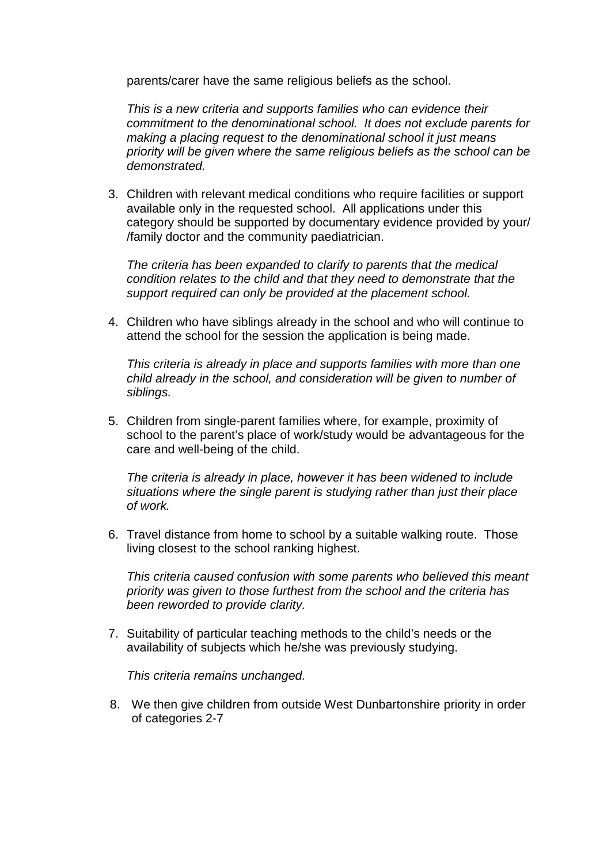parents/carer have the same religious beliefs as the school.

*This is a new criteria and supports families who can evidence their commitment to the denominational school. It does not exclude parents for making a placing request to the denominational school it just means priority will be given where the same religious beliefs as the school can be demonstrated.*

3. Children with relevant medical conditions who require facilities or support available only in the requested school. All applications under this category should be supported by documentary evidence provided by your/ /family doctor and the community paediatrician.

*The criteria has been expanded to clarify to parents that the medical condition relates to the child and that they need to demonstrate that the support required can only be provided at the placement school.*

4. Children who have siblings already in the school and who will continue to attend the school for the session the application is being made.

*This criteria is already in place and supports families with more than one child already in the school, and consideration will be given to number of siblings.*

5. Children from single-parent families where, for example, proximity of school to the parent's place of work/study would be advantageous for the care and well-being of the child.

*The criteria is already in place, however it has been widened to include situations where the single parent is studying rather than just their place of work.*

6. Travel distance from home to school by a suitable walking route. Those living closest to the school ranking highest.

*This criteria caused confusion with some parents who believed this meant priority was given to those furthest from the school and the criteria has been reworded to provide clarity.*

7. Suitability of particular teaching methods to the child's needs or the availability of subjects which he/she was previously studying.

*This criteria remains unchanged.*

8. We then give children from outside West Dunbartonshire priority in order of categories 2-7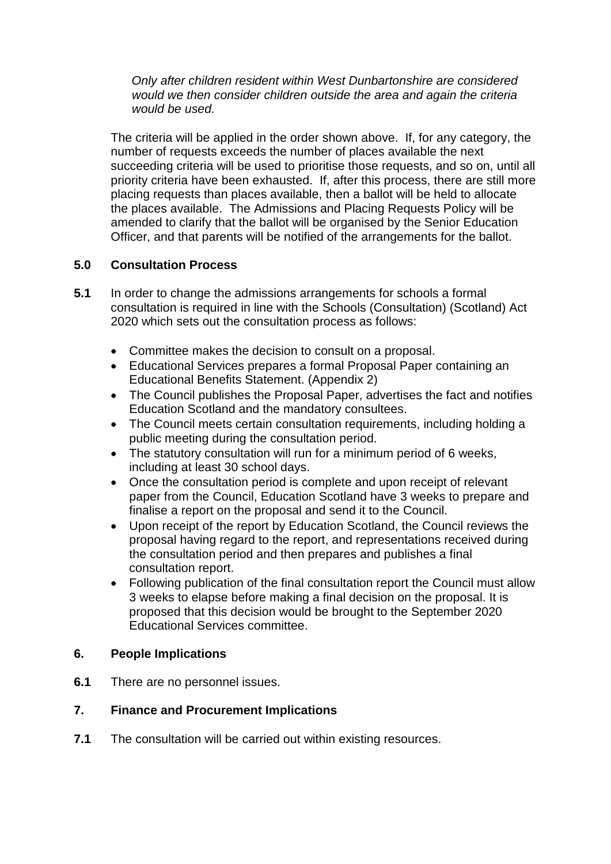*Only after children resident within West Dunbartonshire are considered would we then consider children outside the area and again the criteria would be used.*

The criteria will be applied in the order shown above. If, for any category, the number of requests exceeds the number of places available the next succeeding criteria will be used to prioritise those requests, and so on, until all priority criteria have been exhausted. If, after this process, there are still more placing requests than places available, then a ballot will be held to allocate the places available. The Admissions and Placing Requests Policy will be amended to clarify that the ballot will be organised by the Senior Education Officer, and that parents will be notified of the arrangements for the ballot.

# **5.0 Consultation Process**

- **5.1** In order to change the admissions arrangements for schools a formal consultation is required in line with the Schools (Consultation) (Scotland) Act 2020 which sets out the consultation process as follows:
	- Committee makes the decision to consult on a proposal.
	- Educational Services prepares a formal Proposal Paper containing an Educational Benefits Statement. (Appendix 2)
	- The Council publishes the Proposal Paper, advertises the fact and notifies Education Scotland and the mandatory consultees.
	- The Council meets certain consultation requirements, including holding a public meeting during the consultation period.
	- The statutory consultation will run for a minimum period of 6 weeks, including at least 30 school days.
	- Once the consultation period is complete and upon receipt of relevant paper from the Council, Education Scotland have 3 weeks to prepare and finalise a report on the proposal and send it to the Council.
	- Upon receipt of the report by Education Scotland, the Council reviews the proposal having regard to the report, and representations received during the consultation period and then prepares and publishes a final consultation report.
	- Following publication of the final consultation report the Council must allow 3 weeks to elapse before making a final decision on the proposal. It is proposed that this decision would be brought to the September 2020 Educational Services committee.

## **6. People Implications**

**6.1** There are no personnel issues.

## **7. Finance and Procurement Implications**

**7.1** The consultation will be carried out within existing resources.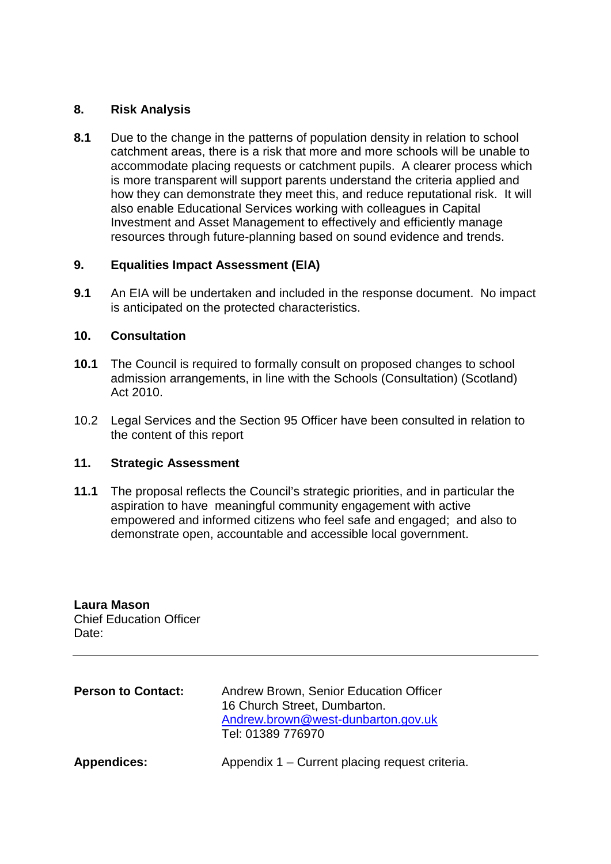## **8. Risk Analysis**

**8.1** Due to the change in the patterns of population density in relation to school catchment areas, there is a risk that more and more schools will be unable to accommodate placing requests or catchment pupils. A clearer process which is more transparent will support parents understand the criteria applied and how they can demonstrate they meet this, and reduce reputational risk. It will also enable Educational Services working with colleagues in Capital Investment and Asset Management to effectively and efficiently manage resources through future-planning based on sound evidence and trends.

# **9. Equalities Impact Assessment (EIA)**

**9.1** An EIA will be undertaken and included in the response document. No impact is anticipated on the protected characteristics.

## **10. Consultation**

- **10.1** The Council is required to formally consult on proposed changes to school admission arrangements, in line with the Schools (Consultation) (Scotland) Act 2010.
- 10.2 Legal Services and the Section 95 Officer have been consulted in relation to the content of this report

# **11. Strategic Assessment**

**11.1** The proposal reflects the Council's strategic priorities, and in particular the aspiration to have meaningful community engagement with active empowered and informed citizens who feel safe and engaged; and also to demonstrate open, accountable and accessible local government.

**Laura Mason** Chief Education Officer Date:

| <b>Person to Contact:</b> | Andrew Brown, Senior Education Officer<br>16 Church Street, Dumbarton.<br>Andrew.brown@west-dunbarton.gov.uk<br>Tel: 01389 776970 |
|---------------------------|-----------------------------------------------------------------------------------------------------------------------------------|
| <b>Appendices:</b>        | Appendix 1 – Current placing request criteria.                                                                                    |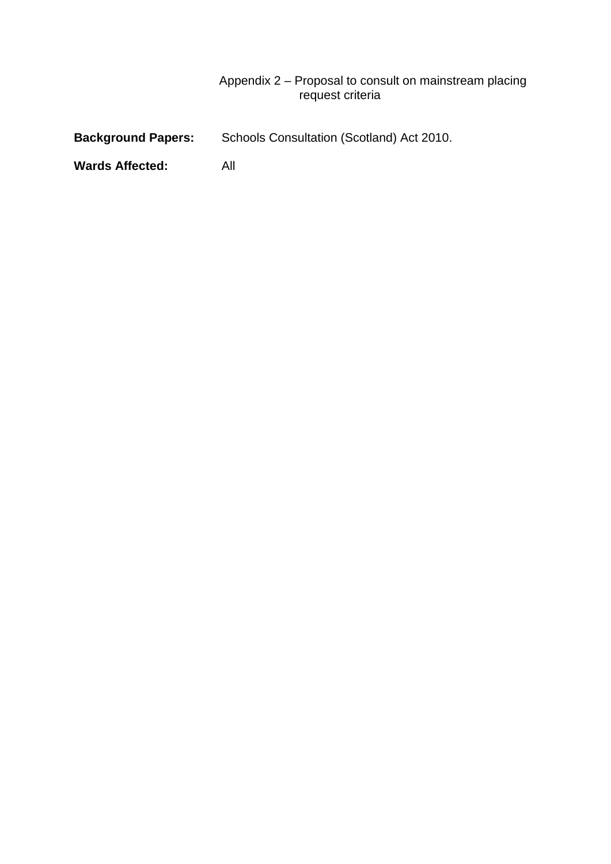## Appendix 2 – Proposal to consult on mainstream placing request criteria

| <b>Background Papers:</b> | Schools Consultation (Scotland) Act 2010. |
|---------------------------|-------------------------------------------|
|                           |                                           |

**Wards Affected:** All